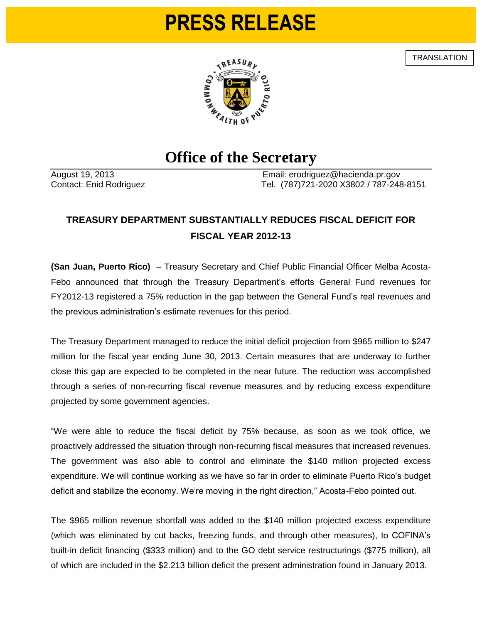## **PRESS RELEASE**

**TRANSLATION** 



## **Office of the Secretary**

August 19, 2013 Email: erodriguez@hacienda.pr.gov Contact: Enid Rodriguez Tel. (787)721-2020 X3802 / 787-248-8151

## **TREASURY DEPARTMENT SUBSTANTIALLY REDUCES FISCAL DEFICIT FOR FISCAL YEAR 2012-13**

**(San Juan, Puerto Rico)** – Treasury Secretary and Chief Public Financial Officer Melba Acosta-Febo announced that through the Treasury Department's efforts General Fund revenues for FY2012-13 registered a 75% reduction in the gap between the General Fund's real revenues and the previous administration's estimate revenues for this period.

The Treasury Department managed to reduce the initial deficit projection from \$965 million to \$247 million for the fiscal year ending June 30, 2013. Certain measures that are underway to further close this gap are expected to be completed in the near future. The reduction was accomplished through a series of non-recurring fiscal revenue measures and by reducing excess expenditure projected by some government agencies.

"We were able to reduce the fiscal deficit by 75% because, as soon as we took office, we proactively addressed the situation through non-recurring fiscal measures that increased revenues. The government was also able to control and eliminate the \$140 million projected excess expenditure. We will continue working as we have so far in order to eliminate Puerto Rico's budget deficit and stabilize the economy. We're moving in the right direction," Acosta-Febo pointed out.

The \$965 million revenue shortfall was added to the \$140 million projected excess expenditure (which was eliminated by cut backs, freezing funds, and through other measures), to COFINA's built-in deficit financing (\$333 million) and to the GO debt service restructurings (\$775 million), all of which are included in the \$2.213 billion deficit the present administration found in January 2013.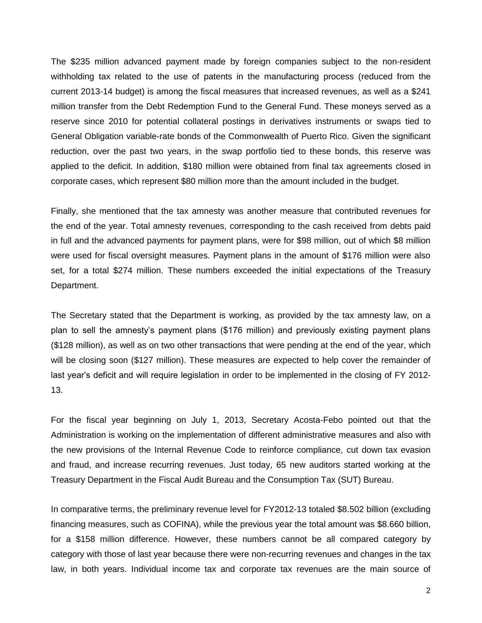The \$235 million advanced payment made by foreign companies subject to the non-resident withholding tax related to the use of patents in the manufacturing process (reduced from the current 2013-14 budget) is among the fiscal measures that increased revenues, as well as a \$241 million transfer from the Debt Redemption Fund to the General Fund. These moneys served as a reserve since 2010 for potential collateral postings in derivatives instruments or swaps tied to General Obligation variable-rate bonds of the Commonwealth of Puerto Rico. Given the significant reduction, over the past two years, in the swap portfolio tied to these bonds, this reserve was applied to the deficit. In addition, \$180 million were obtained from final tax agreements closed in corporate cases, which represent \$80 million more than the amount included in the budget.

Finally, she mentioned that the tax amnesty was another measure that contributed revenues for the end of the year. Total amnesty revenues, corresponding to the cash received from debts paid in full and the advanced payments for payment plans, were for \$98 million, out of which \$8 million were used for fiscal oversight measures. Payment plans in the amount of \$176 million were also set, for a total \$274 million. These numbers exceeded the initial expectations of the Treasury Department.

The Secretary stated that the Department is working, as provided by the tax amnesty law, on a plan to sell the amnesty's payment plans (\$176 million) and previously existing payment plans (\$128 million), as well as on two other transactions that were pending at the end of the year, which will be closing soon (\$127 million). These measures are expected to help cover the remainder of last year's deficit and will require legislation in order to be implemented in the closing of FY 2012- 13.

For the fiscal year beginning on July 1, 2013, Secretary Acosta-Febo pointed out that the Administration is working on the implementation of different administrative measures and also with the new provisions of the Internal Revenue Code to reinforce compliance, cut down tax evasion and fraud, and increase recurring revenues. Just today, 65 new auditors started working at the Treasury Department in the Fiscal Audit Bureau and the Consumption Tax (SUT) Bureau.

In comparative terms, the preliminary revenue level for FY2012-13 totaled \$8.502 billion (excluding financing measures, such as COFINA), while the previous year the total amount was \$8.660 billion, for a \$158 million difference. However, these numbers cannot be all compared category by category with those of last year because there were non-recurring revenues and changes in the tax law, in both years. Individual income tax and corporate tax revenues are the main source of